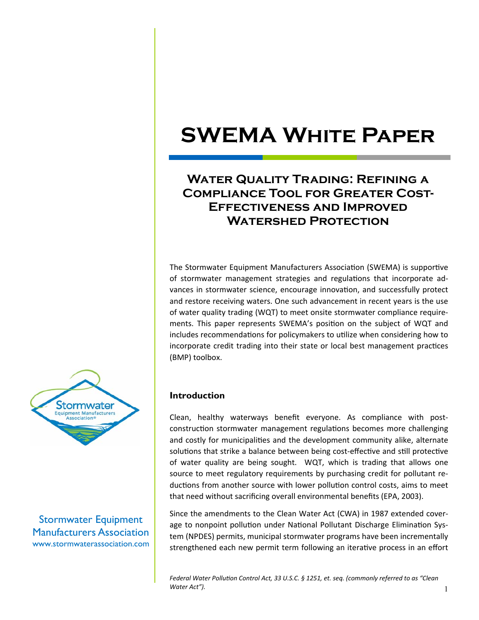### **WATER QUALITY TRADING: REFINING A Compliance Tool for Greater Cost-Effectiveness and Improved Watershed Protection**

The Stormwater Equipment Manufacturers Association (SWEMA) is supportive of stormwater management strategies and regulations that incorporate advances in stormwater science, encourage innovation, and successfully protect and restore receiving waters. One such advancement in recent years is the use of water quality trading (WQT) to meet onsite stormwater compliance requirements. This paper represents SWEMA's position on the subject of WQT and includes recommendations for policymakers to utilize when considering how to incorporate credit trading into their state or local best management practices (BMP) toolbox.



Stormwater Equipment Manufacturers Association www.stormwaterassociation.com

#### **Introduction**

Clean, healthy waterways benefit everyone. As compliance with postconstruction stormwater management regulations becomes more challenging and costly for municipalities and the development community alike, alternate solutions that strike a balance between being cost-effective and still protective of water quality are being sought. WQT, which is trading that allows one source to meet regulatory requirements by purchasing credit for pollutant reductions from another source with lower pollution control costs, aims to meet that need without sacrificing overall environmental benefits (EPA, 2003).

Since the amendments to the Clean Water Act (CWA) in 1987 extended coverage to nonpoint pollution under National Pollutant Discharge Elimination System (NPDES) permits, municipal stormwater programs have been incrementally strengthened each new permit term following an iterative process in an effort

*Federal Water PolluƟon Control Act, 33 U.S.C. § 1251, et. seq. (commonly referred to as "Clean Water Act").*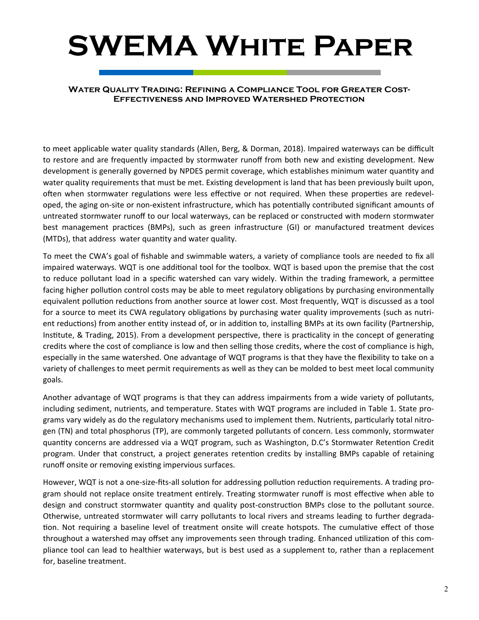#### **Water Quality Trading: Refining a Compliance Tool for Greater Cost-Effectiveness and Improved Watershed Protection**

to meet applicable water quality standards (Allen, Berg, & Dorman, 2018). Impaired waterways can be difficult to restore and are frequently impacted by stormwater runoff from both new and existing development. New development is generally governed by NPDES permit coverage, which establishes minimum water quantity and water quality requirements that must be met. Existing development is land that has been previously built upon, often when stormwater regulations were less effective or not required. When these properties are redeveloped, the aging on-site or non-existent infrastructure, which has potentially contributed significant amounts of untreated stormwater runoff to our local waterways, can be replaced or constructed with modern stormwater best management practices (BMPs), such as green infrastructure (GI) or manufactured treatment devices (MTDs), that address water quantity and water quality.

To meet the CWA's goal of fishable and swimmable waters, a variety of compliance tools are needed to fix all impaired waterways. WQT is one additional tool for the toolbox. WQT is based upon the premise that the cost to reduce pollutant load in a specific watershed can vary widely. Within the trading framework, a permittee facing higher pollution control costs may be able to meet regulatory obligations by purchasing environmentally equivalent pollution reductions from another source at lower cost. Most frequently, WQT is discussed as a tool for a source to meet its CWA regulatory obligations by purchasing water quality improvements (such as nutrient reductions) from another entity instead of, or in addition to, installing BMPs at its own facility (Partnership, Institute, & Trading, 2015). From a development perspective, there is practicality in the concept of generating credits where the cost of compliance is low and then selling those credits, where the cost of compliance is high, especially in the same watershed. One advantage of WQT programs is that they have the flexibility to take on a variety of challenges to meet permit requirements as well as they can be molded to best meet local community goals.

Another advantage of WQT programs is that they can address impairments from a wide variety of pollutants, including sediment, nutrients, and temperature. States with WQT programs are included in Table 1. State programs vary widely as do the regulatory mechanisms used to implement them. Nutrients, particularly total nitrogen (TN) and total phosphorus (TP), are commonly targeted pollutants of concern. Less commonly, stormwater quantity concerns are addressed via a WQT program, such as Washington, D.C's Stormwater Retention Credit program. Under that construct, a project generates retention credits by installing BMPs capable of retaining runoff onsite or removing existing impervious surfaces.

However, WQT is not a one-size-fits-all solution for addressing pollution reduction requirements. A trading program should not replace onsite treatment entirely. Treating stormwater runoff is most effective when able to design and construct stormwater quantity and quality post-construction BMPs close to the pollutant source. Otherwise, untreated stormwater will carry pollutants to local rivers and streams leading to further degradation. Not requiring a baseline level of treatment onsite will create hotspots. The cumulative effect of those throughout a watershed may offset any improvements seen through trading. Enhanced utilization of this compliance tool can lead to healthier waterways, but is best used as a supplement to, rather than a replacement for, baseline treatment.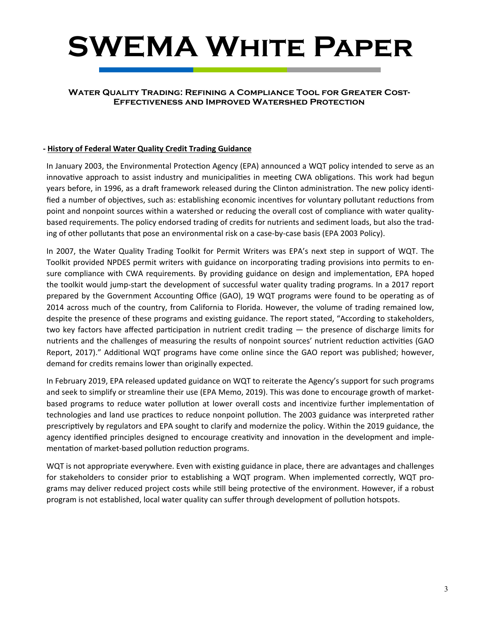#### **Water Quality Trading: Refining a Compliance Tool for Greater Cost-Effectiveness and Improved Watershed Protection**

#### **‐ History of Federal Water Quality Credit Trading Guidance**

In January 2003, the Environmental Protection Agency (EPA) announced a WQT policy intended to serve as an innovative approach to assist industry and municipalities in meeting CWA obligations. This work had begun years before, in 1996, as a draft framework released during the Clinton administration. The new policy identified a number of objectives, such as: establishing economic incentives for voluntary pollutant reductions from point and nonpoint sources within a watershed or reducing the overall cost of compliance with water qualitybased requirements. The policy endorsed trading of credits for nutrients and sediment loads, but also the trading of other pollutants that pose an environmental risk on a case-by-case basis (EPA 2003 Policy).

In 2007, the Water Quality Trading Toolkit for Permit Writers was EPA's next step in support of WQT. The Toolkit provided NPDES permit writers with guidance on incorporating trading provisions into permits to ensure compliance with CWA requirements. By providing guidance on design and implementation, EPA hoped the toolkit would jump-start the development of successful water quality trading programs. In a 2017 report prepared by the Government Accounting Office (GAO), 19 WQT programs were found to be operating as of 2014 across much of the country, from California to Florida. However, the volume of trading remained low, despite the presence of these programs and existing guidance. The report stated, "According to stakeholders, two key factors have affected participation in nutrient credit trading — the presence of discharge limits for nutrients and the challenges of measuring the results of nonpoint sources' nutrient reduction activities (GAO Report, 2017)." Additional WQT programs have come online since the GAO report was published; however, demand for credits remains lower than originally expected.

In February 2019, EPA released updated guidance on WQT to reiterate the Agency's support for such programs and seek to simplify or streamline their use (EPA Memo, 2019). This was done to encourage growth of marketbased programs to reduce water pollution at lower overall costs and incentivize further implementation of technologies and land use practices to reduce nonpoint pollution. The 2003 guidance was interpreted rather prescriptively by regulators and EPA sought to clarify and modernize the policy. Within the 2019 guidance, the agency identified principles designed to encourage creativity and innovation in the development and implementation of market-based pollution reduction programs.

WQT is not appropriate everywhere. Even with existing guidance in place, there are advantages and challenges for stakeholders to consider prior to establishing a WQT program. When implemented correctly, WQT programs may deliver reduced project costs while still being protective of the environment. However, if a robust program is not established, local water quality can suffer through development of pollution hotspots.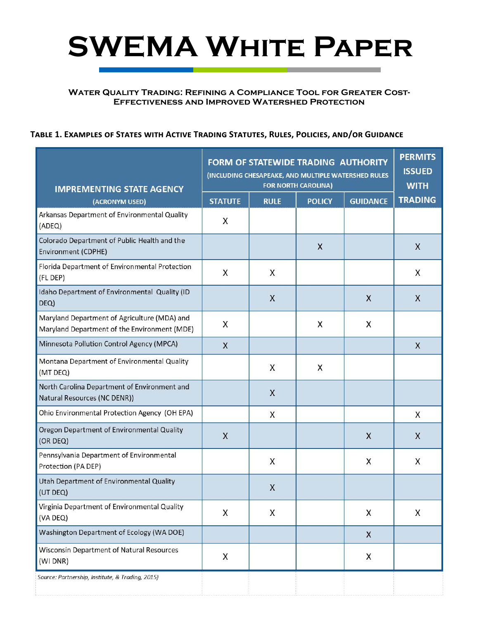#### **Water Quality Trading: Refining a Compliance Tool for Greater Cost-Effectiveness and Improved Watershed Protection**

#### TABLE 1. EXAMPLES OF STATES WITH ACTIVE TRADING STATUTES, RULES, POLICIES, AND/OR GUIDANCE

| <b>IMPREMENTING STATE AGENCY</b>                                                             | FORM OF STATEWIDE TRADING AUTHORITY<br>(INCLUDING CHESAPEAKE, AND MULTIPLE WATERSHED RULES<br><b>FOR NORTH CAROLINA)</b> |             |               |                 | <b>PERMITS</b><br><b>ISSUED</b><br><b>WITH</b> |
|----------------------------------------------------------------------------------------------|--------------------------------------------------------------------------------------------------------------------------|-------------|---------------|-----------------|------------------------------------------------|
| (ACRONYM USED)                                                                               | <b>STATUTE</b>                                                                                                           | <b>RULE</b> | <b>POLICY</b> | <b>GUIDANCE</b> | <b>TRADING</b>                                 |
| Arkansas Department of Environmental Quality<br>(ADEQ)                                       | X                                                                                                                        |             |               |                 |                                                |
| Colorado Department of Public Health and the<br>Environment (CDPHE)                          |                                                                                                                          |             | $\mathsf{X}$  |                 | $\sf X$                                        |
| Florida Department of Environmental Protection<br>(FL DEP)                                   | X                                                                                                                        | X           |               |                 | X                                              |
| Idaho Department of Environmental Quality (ID<br>DEQ)                                        |                                                                                                                          | X           |               | X               | X                                              |
| Maryland Department of Agriculture (MDA) and<br>Maryland Department of the Environment (MDE) | X                                                                                                                        |             | X             | X               |                                                |
| Minnesota Pollution Control Agency (MPCA)                                                    | X                                                                                                                        |             |               |                 | $\times$                                       |
| Montana Department of Environmental Quality<br>(MT DEQ)                                      |                                                                                                                          | X           | X             |                 |                                                |
| North Carolina Department of Environment and<br>Natural Resources (NC DENR))                 |                                                                                                                          | X           |               |                 |                                                |
| Ohio Environmental Protection Agency (OH EPA)                                                |                                                                                                                          | X           |               |                 | X                                              |
| Oregon Department of Environmental Quality<br>(OR DEQ)                                       | X                                                                                                                        |             |               | X               | X                                              |
| Pennsylvania Department of Environmental<br>Protection (PA DEP)                              |                                                                                                                          | X           |               | X               | X                                              |
| Utah Department of Environmental Quality<br>(UT DEQ)                                         |                                                                                                                          | X           |               |                 |                                                |
| Virginia Department of Environmental Quality<br>(VA DEQ)                                     | Χ                                                                                                                        | X           |               | X               | X                                              |
| Washington Department of Ecology (WA DOE)                                                    |                                                                                                                          |             |               | X               |                                                |
| Wisconsin Department of Natural Resources<br>(WI DNR)                                        | X                                                                                                                        |             |               | X               |                                                |
| Source: Partnership, Institute, & Trading, 2015)                                             |                                                                                                                          |             |               |                 |                                                |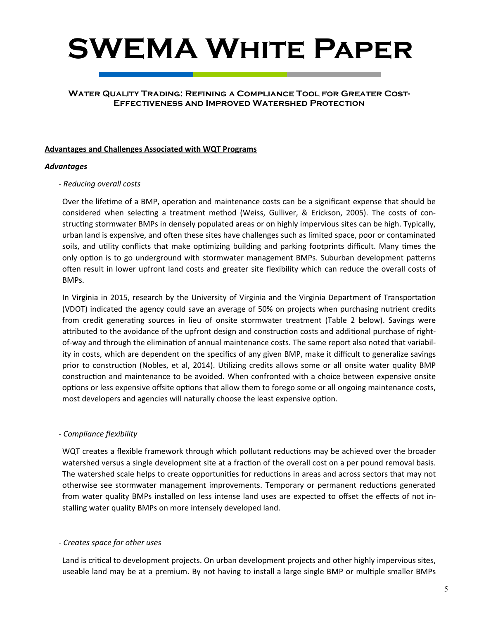#### **Water Quality Trading: Refining a Compliance Tool for Greater Cost-Effectiveness and Improved Watershed Protection**

#### **Advantages and Challenges Associated with WQT Programs**

#### *Advantages*

#### *‐ Reducing overall costs*

Over the lifetime of a BMP, operation and maintenance costs can be a significant expense that should be considered when selecting a treatment method (Weiss, Gulliver, & Erickson, 2005). The costs of constructing stormwater BMPs in densely populated areas or on highly impervious sites can be high. Typically, urban land is expensive, and often these sites have challenges such as limited space, poor or contaminated soils, and utility conflicts that make optimizing building and parking footprints difficult. Many times the only option is to go underground with stormwater management BMPs. Suburban development patterns often result in lower upfront land costs and greater site flexibility which can reduce the overall costs of BMPs.

In Virginia in 2015, research by the University of Virginia and the Virginia Department of Transportation (VDOT) indicated the agency could save an average of 50% on projects when purchasing nutrient credits from credit generating sources in lieu of onsite stormwater treatment (Table 2 below). Savings were attributed to the avoidance of the upfront design and construction costs and additional purchase of rightof-way and through the elimination of annual maintenance costs. The same report also noted that variability in costs, which are dependent on the specifics of any given BMP, make it difficult to generalize savings prior to construction (Nobles, et al, 2014). Utilizing credits allows some or all onsite water quality BMP construction and maintenance to be avoided. When confronted with a choice between expensive onsite options or less expensive offsite options that allow them to forego some or all ongoing maintenance costs, most developers and agencies will naturally choose the least expensive option.

#### *‐ Compliance flexibility*

WQT creates a flexible framework through which pollutant reductions may be achieved over the broader watershed versus a single development site at a fraction of the overall cost on a per pound removal basis. The watershed scale helps to create opportunities for reductions in areas and across sectors that may not otherwise see stormwater management improvements. Temporary or permanent reductions generated from water quality BMPs installed on less intense land uses are expected to offset the effects of not installing water quality BMPs on more intensely developed land.

#### *‐ Creates space for other uses*

Land is critical to development projects. On urban development projects and other highly impervious sites, useable land may be at a premium. By not having to install a large single BMP or multiple smaller BMPs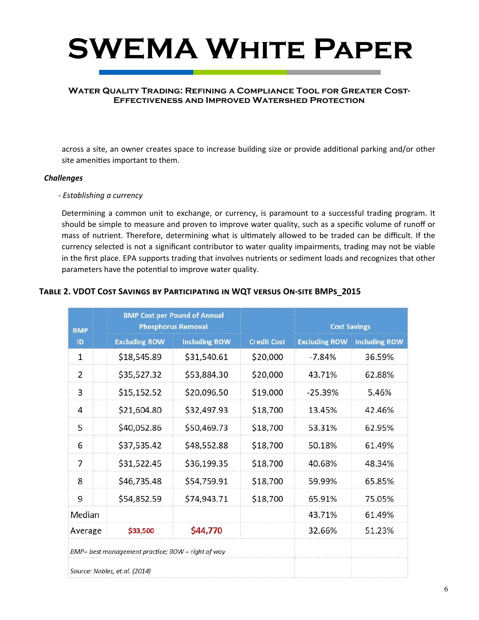

#### **Water Quality Trading: Refining a Compliance Tool for Greater Cost-Effectiveness and Improved Watershed Protection**

across a site, an owner creates space to increase building size or provide additional parking and/or other site amenities important to them.

#### *Challenges*

#### *‐ Establishing a currency*

Determining a common unit to exchange, or currency, is paramount to a successful trading program. It should be simple to measure and proven to improve water quality, such as a specific volume of runoff or mass of nutrient. Therefore, determining what is ultimately allowed to be traded can be difficult. If the currency selected is not a significant contributor to water quality impairments, trading may not be viable in the first place. EPA supports trading that involves nutrients or sediment loads and recognizes that other parameters have the potential to improve water quality.

#### TABLE 2. VDOT COST SAVINGS BY PARTICIPATING IN WQT VERSUS ON-SITE BMPS\_2015

| <b>BMP</b>                                        | <b>BMP Cost per Pound of Annual</b><br><b>Phosphorus Removal</b> |                      |                    | <b>Cost Savings</b>  |                      |  |
|---------------------------------------------------|------------------------------------------------------------------|----------------------|--------------------|----------------------|----------------------|--|
| ID                                                | <b>Excluding ROW</b>                                             | <b>Including ROW</b> | <b>Credit Cost</b> | <b>Excluding ROW</b> | <b>Including ROW</b> |  |
| $\mathbf{1}$                                      | \$18,545.89                                                      | \$31,540.61          | \$20,000           | $-7.84%$             | 36.59%               |  |
| $\overline{2}$                                    | \$35,527.32                                                      | \$53,884.30          | \$20,000           | 43.71%               | 62.88%               |  |
| 3                                                 | \$15,152.52                                                      | \$20,096.50          | \$19,000           | $-25.39%$            | 5.46%                |  |
| $\overline{4}$                                    | \$21,604.80                                                      | \$32,497.93          | \$18,700           | 13.45%               | 42.46%               |  |
| 5                                                 | \$40,052.86                                                      | \$50,469.73          | \$18,700           | 53.31%               | 62.95%               |  |
| 6                                                 | \$37,535.42                                                      | \$48,552.88          | \$18,700           | 50.18%               | 61.49%               |  |
| $\overline{7}$                                    | \$31,522.45                                                      | \$36,199.35          | \$18,700           | 40.68%               | 48.34%               |  |
| 8                                                 | \$46,735.48                                                      | \$54,759.91          | \$18,700           | 59.99%               | 65.85%               |  |
| 9                                                 | \$54,852.59                                                      | \$74,943.71          | \$18,700           | 65.91%               | 75.05%               |  |
| Median                                            |                                                                  |                      |                    | 43.71%               | 61.49%               |  |
| Average                                           | \$33,500                                                         | \$44,770             |                    | 32.66%               | 51.23%               |  |
| BMP= best management practice; ROW = right of way |                                                                  |                      |                    |                      |                      |  |
|                                                   | Source: Nobles, et.al. (2014)                                    |                      |                    |                      |                      |  |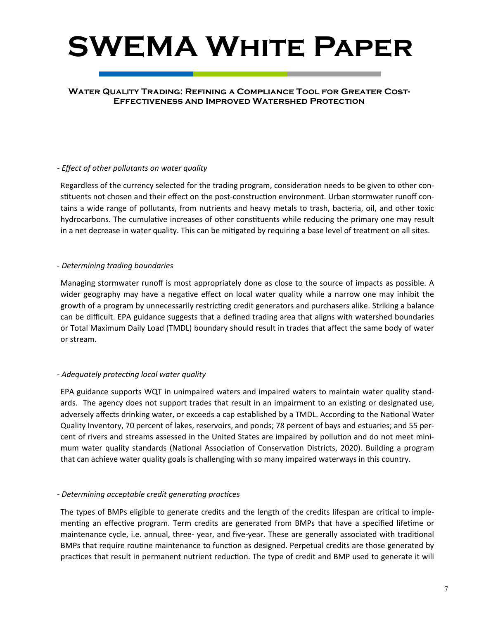#### **Water Quality Trading: Refining a Compliance Tool for Greater Cost-Effectiveness and Improved Watershed Protection**

#### *‐ Effect of other pollutants on water quality*

Regardless of the currency selected for the trading program, consideration needs to be given to other constituents not chosen and their effect on the post-construction environment. Urban stormwater runoff contains a wide range of pollutants, from nutrients and heavy metals to trash, bacteria, oil, and other toxic hydrocarbons. The cumulative increases of other constituents while reducing the primary one may result in a net decrease in water quality. This can be mitigated by requiring a base level of treatment on all sites.

#### *‐ Determining trading boundaries*

Managing stormwater runoff is most appropriately done as close to the source of impacts as possible. A wider geography may have a negative effect on local water quality while a narrow one may inhibit the growth of a program by unnecessarily restricting credit generators and purchasers alike. Striking a balance can be difficult. EPA guidance suggests that a defined trading area that aligns with watershed boundaries or Total Maximum Daily Load (TMDL) boundary should result in trades that affect the same body of water or stream.

#### *‐ Adequately protecƟng local water quality*

EPA guidance supports WQT in unimpaired waters and impaired waters to maintain water quality standards. The agency does not support trades that result in an impairment to an existing or designated use, adversely affects drinking water, or exceeds a cap established by a TMDL. According to the National Water Quality Inventory, 70 percent of lakes, reservoirs, and ponds; 78 percent of bays and estuaries; and 55 percent of rivers and streams assessed in the United States are impaired by pollution and do not meet minimum water quality standards (National Association of Conservation Districts, 2020). Building a program that can achieve water quality goals is challenging with so many impaired waterways in this country.

#### *‐ Determining acceptable credit generaƟng pracƟces*

The types of BMPs eligible to generate credits and the length of the credits lifespan are critical to implementing an effective program. Term credits are generated from BMPs that have a specified lifetime or maintenance cycle, i.e. annual, three- year, and five-year. These are generally associated with traditional BMPs that require routine maintenance to function as designed. Perpetual credits are those generated by practices that result in permanent nutrient reduction. The type of credit and BMP used to generate it will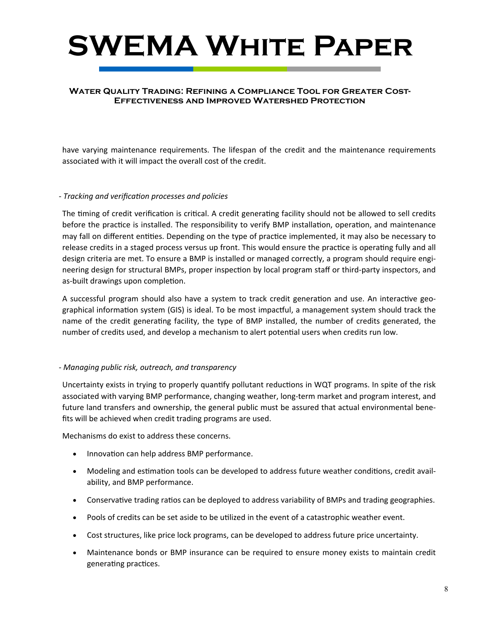#### **Water Quality Trading: Refining a Compliance Tool for Greater Cost-Effectiveness and Improved Watershed Protection**

have varying maintenance requirements. The lifespan of the credit and the maintenance requirements associated with it will impact the overall cost of the credit.

#### *‐ Tracking and verificaƟon processes and policies*

The timing of credit verification is critical. A credit generating facility should not be allowed to sell credits before the practice is installed. The responsibility to verify BMP installation, operation, and maintenance may fall on different entities. Depending on the type of practice implemented, it may also be necessary to release credits in a staged process versus up front. This would ensure the practice is operating fully and all design criteria are met. To ensure a BMP is installed or managed correctly, a program should require engineering design for structural BMPs, proper inspection by local program staff or third-party inspectors, and as-built drawings upon completion.

A successful program should also have a system to track credit generation and use. An interactive geographical information system (GIS) is ideal. To be most impactful, a management system should track the name of the credit generating facility, the type of BMP installed, the number of credits generated, the number of credits used, and develop a mechanism to alert potential users when credits run low.

#### *‐ Managing public risk, outreach, and transparency*

Uncertainty exists in trying to properly quantify pollutant reductions in WQT programs. In spite of the risk associated with varying BMP performance, changing weather, long-term market and program interest, and future land transfers and ownership, the general public must be assured that actual environmental benefits will be achieved when credit trading programs are used.

Mechanisms do exist to address these concerns.

- Innovation can help address BMP performance.
- Modeling and estimation tools can be developed to address future weather conditions, credit availability, and BMP performance.
- Conservative trading ratios can be deployed to address variability of BMPs and trading geographies.
- Pools of credits can be set aside to be utilized in the event of a catastrophic weather event.
- Cost structures, like price lock programs, can be developed to address future price uncertainty.
- Maintenance bonds or BMP insurance can be required to ensure money exists to maintain credit generating practices.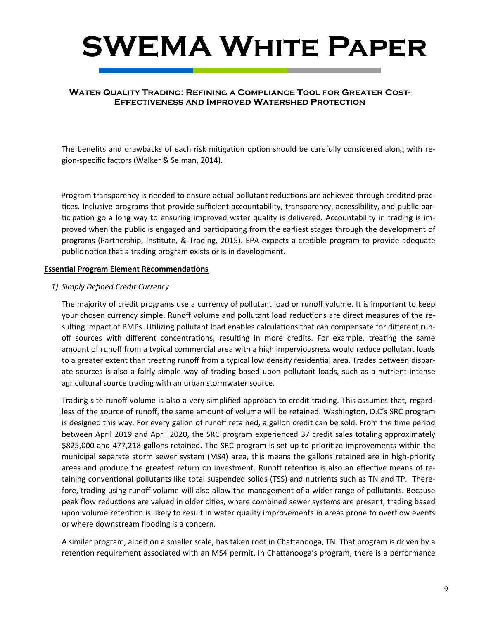#### **Water Quality Trading: Refining a Compliance Tool for Greater Cost-Effectiveness and Improved Watershed Protection**

The benefits and drawbacks of each risk mitigation option should be carefully considered along with region-specific factors (Walker & Selman, 2014).

Program transparency is needed to ensure actual pollutant reductions are achieved through credited practices. Inclusive programs that provide sufficient accountability, transparency, accessibility, and public participation go a long way to ensuring improved water quality is delivered. Accountability in trading is improved when the public is engaged and participating from the earliest stages through the development of programs (Partnership, Institute, & Trading, 2015). EPA expects a credible program to provide adequate public notice that a trading program exists or is in development.

#### **Essential Program Element Recommendations**

#### *1) Simply Defined Credit Currency*

The majority of credit programs use a currency of pollutant load or runoff volume. It is important to keep your chosen currency simple. Runoff volume and pollutant load reductions are direct measures of the resulting impact of BMPs. Utilizing pollutant load enables calculations that can compensate for different runoff sources with different concentrations, resulting in more credits. For example, treating the same amount of runoff from a typical commercial area with a high imperviousness would reduce pollutant loads to a greater extent than treating runoff from a typical low density residential area. Trades between disparate sources is also a fairly simple way of trading based upon pollutant loads, such as a nutrient-intense agricultural source trading with an urban stormwater source.

Trading site runoff volume is also a very simplified approach to credit trading. This assumes that, regardless of the source of runoff, the same amount of volume will be retained. Washington, D.C's SRC program is designed this way. For every gallon of runoff retained, a gallon credit can be sold. From the time period between April 2019 and April 2020, the SRC program experienced 37 credit sales totaling approximately \$825,000 and 477,218 gallons retained. The SRC program is set up to prioritize improvements within the municipal separate storm sewer system (MS4) area, this means the gallons retained are in high-priority areas and produce the greatest return on investment. Runoff retention is also an effective means of retaining conventional pollutants like total suspended solids (TSS) and nutrients such as TN and TP. Therefore, trading using runoff volume will also allow the management of a wider range of pollutants. Because peak flow reductions are valued in older cities, where combined sewer systems are present, trading based upon volume retention is likely to result in water quality improvements in areas prone to overflow events or where downstream flooding is a concern.

A similar program, albeit on a smaller scale, has taken root in Chattanooga, TN. That program is driven by a retention requirement associated with an MS4 permit. In Chattanooga's program, there is a performance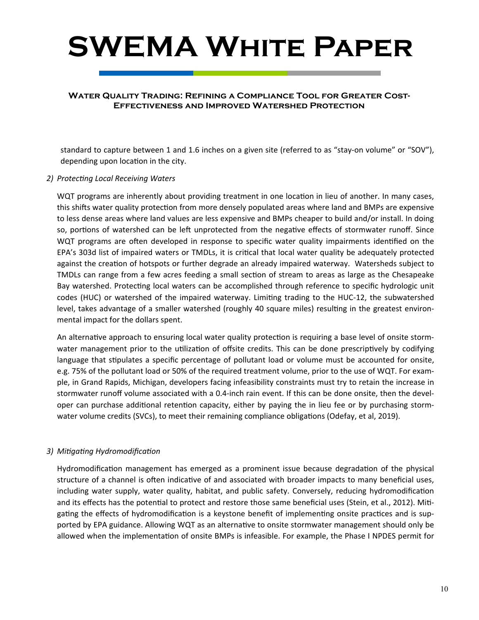#### **Water Quality Trading: Refining a Compliance Tool for Greater Cost-Effectiveness and Improved Watershed Protection**

standard to capture between 1 and 1.6 inches on a given site (referred to as "stay-on volume" or "SOV"), depending upon location in the city.

#### *2) ProtecƟng Local Receiving Waters*

WQT programs are inherently about providing treatment in one location in lieu of another. In many cases, this shifts water quality protection from more densely populated areas where land and BMPs are expensive to less dense areas where land values are less expensive and BMPs cheaper to build and/or install. In doing so, portions of watershed can be left unprotected from the negative effects of stormwater runoff. Since WQT programs are often developed in response to specific water quality impairments identified on the EPA's 303d list of impaired waters or TMDLs, it is critical that local water quality be adequately protected against the creation of hotspots or further degrade an already impaired waterway. Watersheds subject to TMDLs can range from a few acres feeding a small section of stream to areas as large as the Chesapeake Bay watershed. Protecting local waters can be accomplished through reference to specific hydrologic unit codes (HUC) or watershed of the impaired waterway. Limiting trading to the HUC-12, the subwatershed level, takes advantage of a smaller watershed (roughly 40 square miles) resulting in the greatest environmental impact for the dollars spent.

An alternative approach to ensuring local water quality protection is requiring a base level of onsite stormwater management prior to the utilization of offsite credits. This can be done prescriptively by codifying language that stipulates a specific percentage of pollutant load or volume must be accounted for onsite, e.g. 75% of the pollutant load or 50% of the required treatment volume, prior to the use of WQT. For example, in Grand Rapids, Michigan, developers facing infeasibility constraints must try to retain the increase in stormwater runoff volume associated with a 0.4-inch rain event. If this can be done onsite, then the developer can purchase additional retention capacity, either by paying the in lieu fee or by purchasing stormwater volume credits (SVCs), to meet their remaining compliance obligations (Odefay, et al, 2019).

#### *3) MiƟgaƟng HydromodificaƟon*

Hydromodification management has emerged as a prominent issue because degradation of the physical structure of a channel is often indicative of and associated with broader impacts to many beneficial uses, including water supply, water quality, habitat, and public safety. Conversely, reducing hydromodification and its effects has the potential to protect and restore those same beneficial uses (Stein, et al., 2012). Mitigating the effects of hydromodification is a keystone benefit of implementing onsite practices and is supported by EPA guidance. Allowing WQT as an alternative to onsite stormwater management should only be allowed when the implementation of onsite BMPs is infeasible. For example, the Phase I NPDES permit for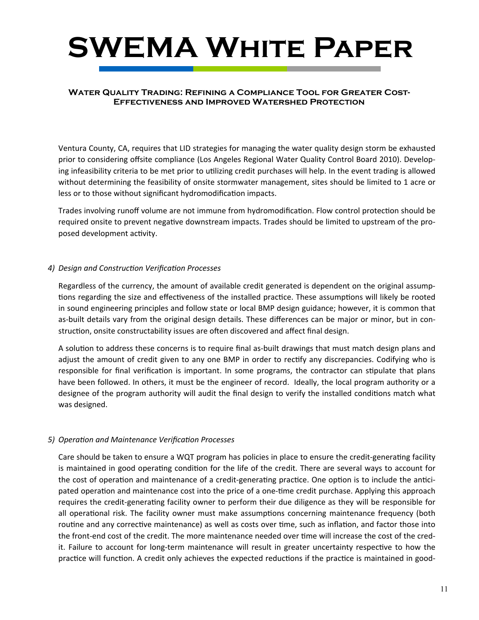#### **Water Quality Trading: Refining a Compliance Tool for Greater Cost-Effectiveness and Improved Watershed Protection**

Ventura County, CA, requires that LID strategies for managing the water quality design storm be exhausted prior to considering offsite compliance (Los Angeles Regional Water Quality Control Board 2010). Developing infeasibility criteria to be met prior to utilizing credit purchases will help. In the event trading is allowed without determining the feasibility of onsite stormwater management, sites should be limited to 1 acre or less or to those without significant hydromodification impacts.

Trades involving runoff volume are not immune from hydromodification. Flow control protection should be required onsite to prevent negative downstream impacts. Trades should be limited to upstream of the proposed development activity.

#### *4) Design and ConstrucƟon VerificaƟon Processes*

Regardless of the currency, the amount of available credit generated is dependent on the original assumptions regarding the size and effectiveness of the installed practice. These assumptions will likely be rooted in sound engineering principles and follow state or local BMP design guidance; however, it is common that as-built details vary from the original design details. These differences can be major or minor, but in construction, onsite constructability issues are often discovered and affect final design.

A solution to address these concerns is to require final as-built drawings that must match design plans and adjust the amount of credit given to any one BMP in order to rectify any discrepancies. Codifying who is responsible for final verification is important. In some programs, the contractor can stipulate that plans have been followed. In others, it must be the engineer of record. Ideally, the local program authority or a designee of the program authority will audit the final design to verify the installed conditions match what was designed.

#### *5) OperaƟon and Maintenance VerificaƟon Processes*

Care should be taken to ensure a WQT program has policies in place to ensure the credit-generating facility is maintained in good operating condition for the life of the credit. There are several ways to account for the cost of operation and maintenance of a credit-generating practice. One option is to include the anticipated operation and maintenance cost into the price of a one-time credit purchase. Applying this approach requires the credit-generating facility owner to perform their due diligence as they will be responsible for all operational risk. The facility owner must make assumptions concerning maintenance frequency (both routine and any corrective maintenance) as well as costs over time, such as inflation, and factor those into the front-end cost of the credit. The more maintenance needed over time will increase the cost of the credit. Failure to account for long-term maintenance will result in greater uncertainty respective to how the practice will function. A credit only achieves the expected reductions if the practice is maintained in good-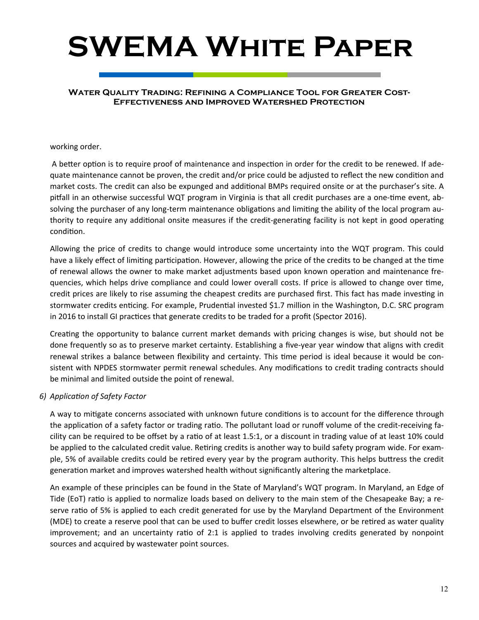#### **Water Quality Trading: Refining a Compliance Tool for Greater Cost-Effectiveness and Improved Watershed Protection**

#### working order.

A better option is to require proof of maintenance and inspection in order for the credit to be renewed. If adequate maintenance cannot be proven, the credit and/or price could be adjusted to reflect the new condition and market costs. The credit can also be expunged and additional BMPs required onsite or at the purchaser's site. A pitfall in an otherwise successful WQT program in Virginia is that all credit purchases are a one-time event, absolving the purchaser of any long-term maintenance obligations and limiting the ability of the local program authority to require any additional onsite measures if the credit-generating facility is not kept in good operating condition.

Allowing the price of credits to change would introduce some uncertainty into the WQT program. This could have a likely effect of limiting participation. However, allowing the price of the credits to be changed at the time of renewal allows the owner to make market adjustments based upon known operation and maintenance frequencies, which helps drive compliance and could lower overall costs. If price is allowed to change over time, credit prices are likely to rise assuming the cheapest credits are purchased first. This fact has made investing in stormwater credits enticing. For example, Prudential invested \$1.7 million in the Washington, D.C. SRC program in 2016 to install GI practices that generate credits to be traded for a profit (Spector 2016).

Creating the opportunity to balance current market demands with pricing changes is wise, but should not be done frequently so as to preserve market certainty. Establishing a five-year year window that aligns with credit renewal strikes a balance between flexibility and certainty. This time period is ideal because it would be consistent with NPDES stormwater permit renewal schedules. Any modifications to credit trading contracts should be minimal and limited outside the point of renewal.

#### *6) ApplicaƟon of Safety Factor*

A way to mitigate concerns associated with unknown future conditions is to account for the difference through the application of a safety factor or trading ratio. The pollutant load or runoff volume of the credit-receiving facility can be required to be offset by a ratio of at least 1.5:1, or a discount in trading value of at least 10% could be applied to the calculated credit value. Retiring credits is another way to build safety program wide. For example, 5% of available credits could be retired every year by the program authority. This helps buttress the credit generation market and improves watershed health without significantly altering the marketplace.

An example of these principles can be found in the State of Maryland's WQT program. In Maryland, an Edge of Tide (EoT) ratio is applied to normalize loads based on delivery to the main stem of the Chesapeake Bay; a reserve ratio of 5% is applied to each credit generated for use by the Maryland Department of the Environment (MDE) to create a reserve pool that can be used to buffer credit losses elsewhere, or be retired as water quality improvement; and an uncertainty ratio of 2:1 is applied to trades involving credits generated by nonpoint sources and acquired by wastewater point sources.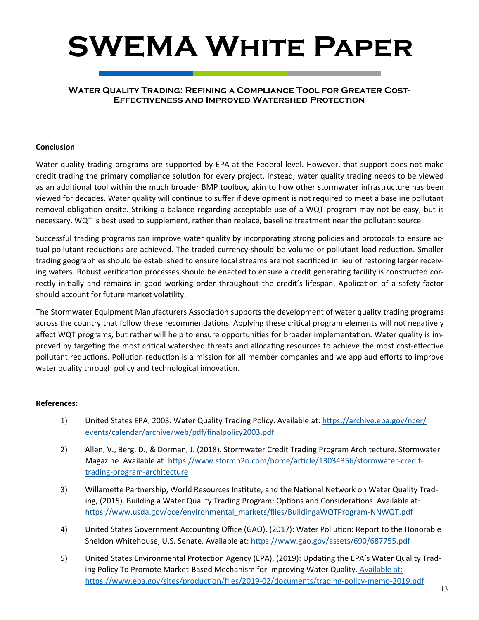#### **Water Quality Trading: Refining a Compliance Tool for Greater Cost-Effectiveness and Improved Watershed Protection**

#### **Conclusion**

Water quality trading programs are supported by EPA at the Federal level. However, that support does not make credit trading the primary compliance solution for every project. Instead, water quality trading needs to be viewed as an additional tool within the much broader BMP toolbox, akin to how other stormwater infrastructure has been viewed for decades. Water quality will continue to suffer if development is not required to meet a baseline pollutant removal obligation onsite. Striking a balance regarding acceptable use of a WQT program may not be easy, but is necessary. WQT is best used to supplement, rather than replace, baseline treatment near the pollutant source.

Successful trading programs can improve water quality by incorporating strong policies and protocols to ensure actual pollutant reductions are achieved. The traded currency should be volume or pollutant load reduction. Smaller trading geographies should be established to ensure local streams are not sacrificed in lieu of restoring larger receiving waters. Robust verification processes should be enacted to ensure a credit generating facility is constructed correctly initially and remains in good working order throughout the credit's lifespan. Application of a safety factor should account for future market volatility.

The Stormwater Equipment Manufacturers Association supports the development of water quality trading programs across the country that follow these recommendations. Applying these critical program elements will not negatively affect WQT programs, but rather will help to ensure opportunities for broader implementation. Water quality is improved by targeting the most critical watershed threats and allocating resources to achieve the most cost-effective pollutant reductions. Pollution reduction is a mission for all member companies and we applaud efforts to improve water quality through policy and technological innovation.

#### **References:**

- 1) United States EPA, 2003. Water Quality Trading Policy. Available at: https://archive.epa.gov/ncer/ events/calendar/archive/web/pdf/finalpolicy2003.pdf
- 2) Allen, V., Berg, D., & Dorman, J. (2018). Stormwater Credit Trading Program Architecture. Stormwater Magazine. Available at: https://www.stormh2o.com/home/article/13034356/stormwater-credittrading-program-architecture
- 3) Willamette Partnership, World Resources Institute, and the National Network on Water Quality Trading, (2015). Building a Water Quality Trading Program: Options and Considerations. Available at: https://www.usda.gov/oce/environmental\_markets/files/BuildingaWQTProgram-NNWQT.pdf
- 4) United States Government Accounting Office (GAO), (2017): Water Pollution: Report to the Honorable Sheldon Whitehouse, U.S. Senate. Available at: https://www.gao.gov/assets/690/687755.pdf
- 5) United States Environmental Protection Agency (EPA), (2019): Updating the EPA's Water Quality Trading Policy To Promote Market-Based Mechanism for Improving Water Quality. Available at: https://www.epa.gov/sites/production/files/2019-02/documents/trading-policy-memo-2019.pdf